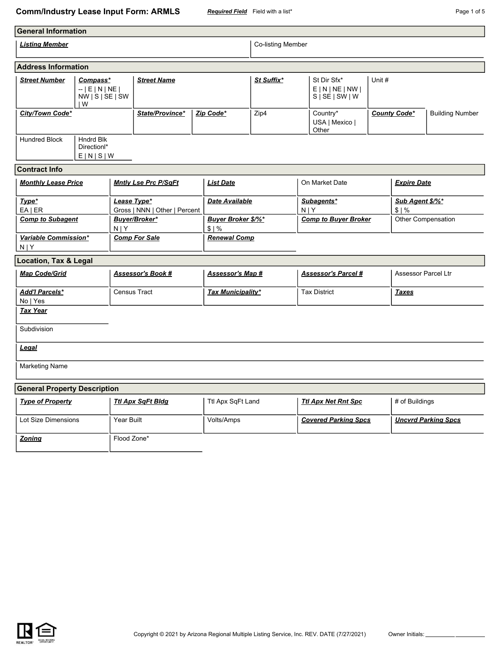## **Comm/Industry Lease Input Form: ARMLS** *Required Field* Field with a list\* **Page 1 of 5** Page 1 of 5

| <b>General Information</b>                                                       |                                                       |                          |                                              |                  |                                   |                                                        |                             |                                     |                            |                         |                        |
|----------------------------------------------------------------------------------|-------------------------------------------------------|--------------------------|----------------------------------------------|------------------|-----------------------------------|--------------------------------------------------------|-----------------------------|-------------------------------------|----------------------------|-------------------------|------------------------|
| <b>Listing Member</b>                                                            |                                                       |                          |                                              |                  |                                   | <b>Co-listing Member</b>                               |                             |                                     |                            |                         |                        |
| <b>Address Information</b>                                                       |                                                       |                          |                                              |                  |                                   |                                                        |                             |                                     |                            |                         |                        |
| <b>Street Number</b><br>Compass*<br>$-$   E   N   NE  <br>NW   S   SE   SW<br>IW |                                                       | <b>Street Name</b>       |                                              | St Suffix*       |                                   | St Dir Sfx*<br>E N NE NW <br>$S \setminus S \in  SW W$ | Unit #                      |                                     |                            |                         |                        |
| City/Town Code*                                                                  |                                                       |                          | State/Province*                              | Zip Code*        |                                   | Zip4                                                   |                             | Country*<br>USA   Mexico  <br>Other | <b>County Code*</b>        |                         | <b>Building Number</b> |
| <b>Hundred Block</b>                                                             | <b>Hndrd Blk</b><br>Direction <sup>*</sup><br>E[N S W |                          |                                              |                  |                                   |                                                        |                             |                                     |                            |                         |                        |
| <b>Contract Info</b>                                                             |                                                       |                          |                                              |                  |                                   |                                                        |                             |                                     |                            |                         |                        |
| <b>Monthly Lease Price</b>                                                       |                                                       |                          | <b>Mntly Lse Prc P/SqFt</b>                  |                  | <b>List Date</b>                  |                                                        |                             | On Market Date                      |                            | <b>Expire Date</b>      |                        |
| Type*<br>$EA$   ER                                                               |                                                       |                          | Lease Type*<br>Gross   NNN   Other   Percent |                  | <b>Date Available</b>             |                                                        | Subagents*<br>N   Y         |                                     |                            | Sub Agent \$/%*<br>\$1% |                        |
| <b>Comp to Subagent</b>                                                          |                                                       | N   Y                    | Buyer/Broker*                                |                  | <b>Buyer Broker \$/%*</b><br>\$1% |                                                        | <b>Comp to Buyer Broker</b> |                                     | Other Compensation         |                         |                        |
| Variable Commission*<br>N   Y                                                    |                                                       |                          | <b>Renewal Comp</b><br><b>Comp For Sale</b>  |                  |                                   |                                                        |                             |                                     |                            |                         |                        |
| <b>Location, Tax &amp; Legal</b>                                                 |                                                       |                          |                                              |                  |                                   |                                                        |                             |                                     |                            |                         |                        |
| <b>Map Code/Grid</b>                                                             |                                                       | <b>Assessor's Book #</b> |                                              | Assessor's Map # |                                   | <b>Assessor's Parcel #</b>                             |                             |                                     | Assessor Parcel Ltr        |                         |                        |
| <b>Add'I Parcels*</b><br>No   Yes                                                |                                                       |                          | Census Tract                                 |                  | <b>Tax Municipality*</b>          |                                                        | <b>Tax District</b>         |                                     | <b>Taxes</b>               |                         |                        |
| <b>Tax Year</b>                                                                  |                                                       |                          |                                              |                  |                                   |                                                        |                             |                                     |                            |                         |                        |
| Subdivision                                                                      |                                                       |                          |                                              |                  |                                   |                                                        |                             |                                     |                            |                         |                        |
| Legal                                                                            |                                                       |                          |                                              |                  |                                   |                                                        |                             |                                     |                            |                         |                        |
| <b>Marketing Name</b>                                                            |                                                       |                          |                                              |                  |                                   |                                                        |                             |                                     |                            |                         |                        |
| <b>General Property Description</b>                                              |                                                       |                          |                                              |                  |                                   |                                                        |                             |                                     |                            |                         |                        |
| <b>Type of Property</b>                                                          |                                                       |                          | <b>Ttl Apx SqFt Bldg</b>                     |                  | Ttl Apx SqFt Land                 |                                                        | <b>Ttl Apx Net Rnt Spc</b>  |                                     |                            | # of Buildings          |                        |
| Lot Size Dimensions                                                              |                                                       | Year Built               |                                              | Volts/Amps       |                                   |                                                        | <b>Covered Parking Spcs</b> |                                     | <b>Uncvrd Parking Spcs</b> |                         |                        |



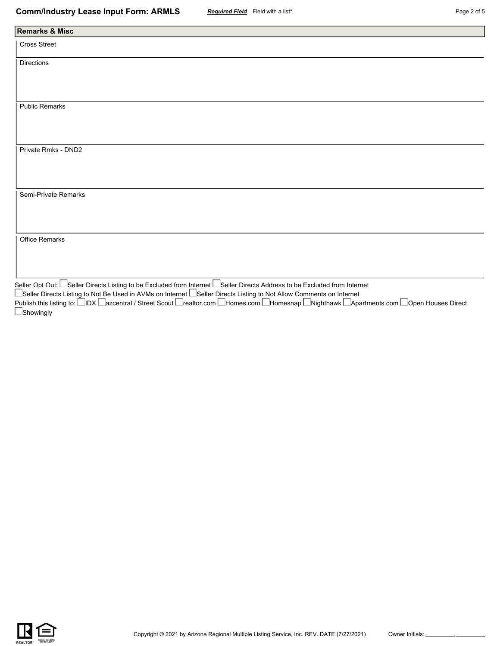| <b>Remarks &amp; Misc</b>                                                                                                 |
|---------------------------------------------------------------------------------------------------------------------------|
| Cross Street                                                                                                              |
| Directions                                                                                                                |
|                                                                                                                           |
|                                                                                                                           |
| <b>Public Remarks</b>                                                                                                     |
|                                                                                                                           |
|                                                                                                                           |
| Private Rmks - DND2                                                                                                       |
|                                                                                                                           |
|                                                                                                                           |
| Semi-Private Remarks                                                                                                      |
|                                                                                                                           |
|                                                                                                                           |
| Office Remarks                                                                                                            |
|                                                                                                                           |
|                                                                                                                           |
| Seller Opt Out: LSeller Directs Listing to be Excluded from Internet LSeller Directs Address to be Excluded from Internet |

Seller Directs Listing to Not Be Used in AVMs on Internet L\_Seller Directs Listing to Not Allow Comments on Internet Publish this listing to: ⊟IDX ⊟azcentral / Street Scout ⊟realtor.com ⊟Homes.com ⊟Homesnap ⊡Nighthawk ⊡Apartments.com ⊟Open Houses Direct **Showingly** 

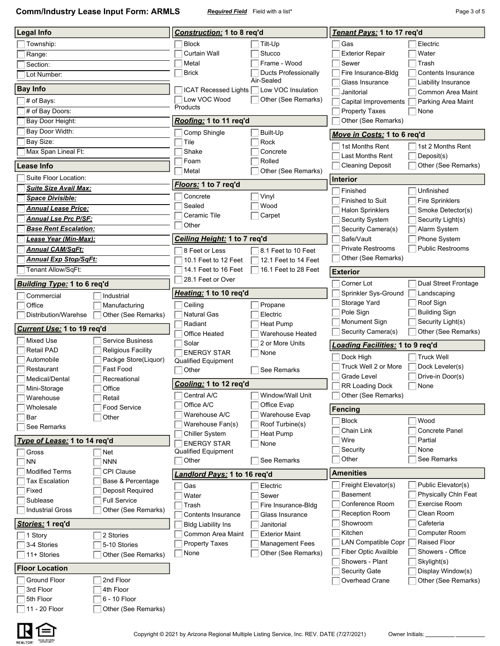**Comm/Industry Lease Input Form: ARMLS** *Required Field* Field with a list\* **Page 3 of 5** Page 3 of 5

| <b>Legal Info</b>                                     |                                            | Construction: 1 to 8 reg'd                |                                                                  | Tenant Pays: 1 to 17 req'd                                                |                                   |  |  |  |
|-------------------------------------------------------|--------------------------------------------|-------------------------------------------|------------------------------------------------------------------|---------------------------------------------------------------------------|-----------------------------------|--|--|--|
| Township:                                             |                                            | <b>Block</b>                              | Tilt-Up                                                          | Gas                                                                       | Electric                          |  |  |  |
| Range:                                                |                                            | <b>Curtain Wall</b>                       | Stucco                                                           | <b>Exterior Repair</b>                                                    | Water                             |  |  |  |
| Section:                                              |                                            | Metal                                     | Frame - Wood                                                     | Sewer                                                                     | Trash                             |  |  |  |
| Lot Number:                                           |                                            | <b>Brick</b>                              | Ducts Professionally                                             | Fire Insurance-Bldg                                                       | Contents Insurance                |  |  |  |
| <b>Bay Info</b>                                       |                                            |                                           | Air-Sealed                                                       | Glass Insurance                                                           | Liability Insurance               |  |  |  |
|                                                       |                                            | Low VOC Wood                              | ICAT Recessed Lights □ Low VOC Insulation<br>Other (See Remarks) | Janitorial                                                                | Common Area Maint                 |  |  |  |
| # of Bays:<br># of Bay Doors:                         |                                            | Products                                  |                                                                  | Capital Improvements<br><b>Property Taxes</b>                             | Parking Area Maint<br>None        |  |  |  |
| Bay Door Height:                                      |                                            | Roofing: 1 to 11 req'd                    |                                                                  | Other (See Remarks)                                                       |                                   |  |  |  |
| Bay Door Width:                                       |                                            | Comp Shingle                              | Built-Up                                                         |                                                                           |                                   |  |  |  |
| Bay Size:                                             |                                            | Tile                                      | Rock                                                             | Move in Costs: 1 to 6 req'd                                               |                                   |  |  |  |
| Max Span Lineal Ft:                                   |                                            | Shake                                     | Concrete                                                         | 1st Months Rent                                                           | 1st 2 Months Rent                 |  |  |  |
|                                                       |                                            | Foam                                      | Rolled                                                           | <b>Last Months Rent</b><br><b>Cleaning Deposit</b>                        | Deposit(s)<br>Other (See Remarks) |  |  |  |
| Lease Info                                            |                                            | Metal                                     | Other (See Remarks)                                              |                                                                           |                                   |  |  |  |
| Suite Floor Location:                                 |                                            | <u>Floors:</u> 1 to 7 req'd               |                                                                  | <b>Interior</b>                                                           |                                   |  |  |  |
| <b>Suite Size Avail Max:</b>                          |                                            | Concrete                                  | Vinyl                                                            | Finished                                                                  | Unfinished                        |  |  |  |
| <b>Space Divisible:</b><br><b>Annual Lease Price:</b> |                                            | Sealed                                    | Wood                                                             | Finished to Suit                                                          | <b>Fire Sprinklers</b>            |  |  |  |
| <b>Annual Lse Prc P/SF:</b>                           |                                            | Ceramic Tile                              | Carpet                                                           | <b>Halon Sprinklers</b>                                                   | Smoke Detector(s)                 |  |  |  |
| <b>Base Rent Escalation:</b>                          |                                            | Other                                     |                                                                  | Security System                                                           | Security Light(s)                 |  |  |  |
| Lease Year (Min-Max):                                 |                                            | <u>Ceiling Height:</u> 1 to 7 req'd       |                                                                  | Security Camera(s)<br>Safe/Vault                                          | Alarm System<br>Phone System      |  |  |  |
| <b>Annual CAM/SqFt:</b>                               |                                            | 8 Feet or Less                            | 8.1 Feet to 10 Feet                                              | <b>Private Restrooms</b>                                                  | <b>Public Restrooms</b>           |  |  |  |
| <b>Annual Exp Stop/SqFt:</b>                          |                                            | 10.1 Feet to 12 Feet                      | 12.1 Feet to 14 Feet                                             | Other (See Remarks)                                                       |                                   |  |  |  |
| Tenant Allow/SqFt:                                    |                                            | 14.1 Feet to 16 Feet                      | 16.1 Feet to 28 Feet                                             | <b>Exterior</b>                                                           |                                   |  |  |  |
|                                                       |                                            | 28.1 Feet or Over                         |                                                                  |                                                                           |                                   |  |  |  |
| Building Type: 1 to 6 req'd                           |                                            | Heating: 1 to 10 req'd                    |                                                                  | Corner Lot<br>Dual Street Frontage<br>Sprinkler Sys-Ground<br>Landscaping |                                   |  |  |  |
| Commercial<br>Office                                  | Industrial                                 | Ceiling                                   |                                                                  | Storage Yard                                                              | Roof Sign                         |  |  |  |
| Distribution/Warehse                                  | Manufacturing<br>Other (See Remarks)       | <b>Natural Gas</b>                        | Propane<br>Electric                                              | Pole Sign                                                                 | <b>Building Sign</b>              |  |  |  |
|                                                       |                                            | Radiant                                   | Heat Pump                                                        | Monument Sign                                                             | Security Light(s)                 |  |  |  |
| Current Use: 1 to 19 req'd                            |                                            | Office Heated                             | Warehouse Heated                                                 | Security Camera(s)                                                        | Other (See Remarks)               |  |  |  |
| <b>Mixed Use</b>                                      | <b>Service Business</b>                    | Solar                                     | 2 or More Units                                                  | <u>Loading Facilities:</u> 1 to 9 req'd                                   |                                   |  |  |  |
| <b>Retail PAD</b>                                     | <b>Religious Facility</b>                  | <b>ENERGY STAR</b>                        | None                                                             | Dock High                                                                 | <b>Truck Well</b>                 |  |  |  |
| Automobile<br>Restaurant                              | Packge Store(Liquor)<br>Fast Food          | Qualified Equipment<br>Other              | See Remarks                                                      | Truck Well 2 or More                                                      | Dock Leveler(s)                   |  |  |  |
| Medical/Dental                                        | Recreational                               |                                           |                                                                  | Grade Level                                                               | Drive-in Door(s)                  |  |  |  |
| Mini-Storage                                          | Office                                     | Cooling: 1 to 12 reg'd                    |                                                                  | <b>RR Loading Dock</b><br>None                                            |                                   |  |  |  |
| Warehouse                                             | Retail                                     | Central A/C                               | Window/Wall Unit                                                 | Other (See Remarks)                                                       |                                   |  |  |  |
| Wholesale                                             | <b>Food Service</b>                        | Office A/C                                | Office Evap                                                      | <b>Fencing</b>                                                            |                                   |  |  |  |
| Bar                                                   | Other                                      | Warehouse A/C                             | Warehouse Evap                                                   | <b>Block</b>                                                              | Wood                              |  |  |  |
| See Remarks                                           |                                            | Warehouse Fan(s)<br><b>Chiller System</b> | Roof Turbine(s)<br>Heat Pump                                     | Chain Link                                                                | <b>Concrete Panel</b>             |  |  |  |
| Type of Lease: 1 to 14 req'd                          |                                            | <b>ENERGY STAR</b>                        | None                                                             | Wire                                                                      | Partial                           |  |  |  |
| Gross                                                 | $\blacksquare$ Net                         | <b>Qualified Equipment</b>                |                                                                  | Security                                                                  | None                              |  |  |  |
| <b>NN</b>                                             | <b>NNN</b>                                 | Other                                     | See Remarks                                                      | Other                                                                     | See Remarks                       |  |  |  |
| <b>Modified Terms</b>                                 | <b>CPI Clause</b>                          | <u>Landlord Pays:</u> 1 to 16 req'd       |                                                                  | <b>Amenities</b>                                                          |                                   |  |  |  |
| <b>Tax Escalation</b>                                 | Base & Percentage                          | Gas                                       | Electric                                                         | Freight Elevator(s)                                                       | Public Elevator(s)                |  |  |  |
| Fixed                                                 | Deposit Required                           | Water                                     | Sewer                                                            | <b>Basement</b>                                                           | Physically Chin Feat              |  |  |  |
| Sublease<br><b>Industrial Gross</b>                   | <b>Full Service</b><br>Other (See Remarks) | Trash                                     | Fire Insurance-Bldg                                              | Conference Room                                                           | Exercise Room                     |  |  |  |
|                                                       |                                            | Contents Insurance                        | Glass Insurance                                                  | <b>Reception Room</b>                                                     | Clean Room                        |  |  |  |
| <u>Stories:</u> 1 req'd                               |                                            | <b>Bldg Liability Ins</b>                 | Janitorial                                                       | Showroom                                                                  | Cafeteria                         |  |  |  |
| 1 Story                                               | 2 Stories                                  | Common Area Maint                         | <b>Exterior Maint</b>                                            | Kitchen<br><b>LAN Compatible Copr</b>                                     | Computer Room<br>Raised Floor     |  |  |  |
| 3-4 Stories                                           | 5-10 Stories                               | <b>Property Taxes</b><br>None             | <b>Management Fees</b><br>Other (See Remarks)                    | Fiber Optic Availble                                                      | Showers - Office                  |  |  |  |
| 11+ Stories                                           | Other (See Remarks)                        |                                           |                                                                  | Showers - Plant                                                           | Skylight(s)                       |  |  |  |
| <b>Floor Location</b>                                 |                                            |                                           |                                                                  | <b>Security Gate</b>                                                      | Display Window(s)                 |  |  |  |
| Ground Floor                                          | 2nd Floor                                  |                                           |                                                                  | Overhead Crane                                                            | Other (See Remarks)               |  |  |  |
| 3rd Floor                                             | 4th Floor                                  |                                           |                                                                  |                                                                           |                                   |  |  |  |
| 5th Floor                                             | 6 - 10 Floor                               |                                           |                                                                  |                                                                           |                                   |  |  |  |
| 11 - 20 Floor                                         | Other (See Remarks)                        |                                           |                                                                  |                                                                           |                                   |  |  |  |

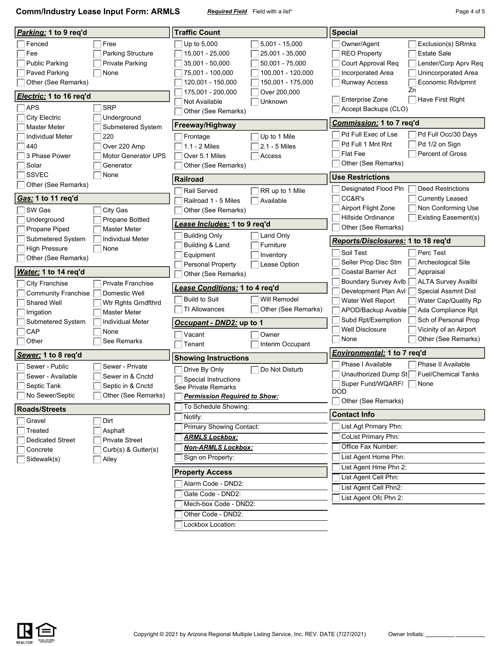**Comm/Industry Lease Input Form: ARMLS** *Required Field* Field with a list\* **Page 4 of 5** Page 4 of 5

| <i>Parking:</i> 1 to 9 req'd                                                                                                                           |                                                                                                                      | <b>Traffic Count</b>                                                                                                                                       |                                                                                                                                                 | <b>Special</b>                                                                                                                            |                                                                                                                                                                          |  |  |  |
|--------------------------------------------------------------------------------------------------------------------------------------------------------|----------------------------------------------------------------------------------------------------------------------|------------------------------------------------------------------------------------------------------------------------------------------------------------|-------------------------------------------------------------------------------------------------------------------------------------------------|-------------------------------------------------------------------------------------------------------------------------------------------|--------------------------------------------------------------------------------------------------------------------------------------------------------------------------|--|--|--|
| Fenced<br>Fee<br><b>Public Parking</b><br>Paved Parking<br>Other (See Remarks)<br><i>Electric:</i> 1 to 16 req'd<br><b>APS</b><br><b>City Electric</b> | Free<br>Parking Structure<br><b>Private Parking</b><br>None<br><b>SRP</b><br>Underground                             | Up to 5,000<br>15,001 - 25,000<br>35,001 - 50,000<br>75,001 - 100,000<br>120,001 - 150,000<br>175,001 - 200,000<br>Not Available<br>Other (See Remarks)    | $5,001 - 15,000$<br>25,001 - 35,000<br>50,001 - 75,000<br>100,001 - 120,000<br>150,001 - 175,000<br>Over 200,000<br>Unknown                     | Owner/Agent<br><b>REO Property</b><br>Court Approval Req<br>Incorporated Area<br>Runway Access<br>Enterprise Zone<br>Accept Backups (CLO) | Exclusion(s) SRmks<br><b>Estate Sale</b><br>Lender/Corp Aprv Req<br>Unincorporated Area<br>Economic Rdvlpmnt<br>Zn<br>Have First Right                                   |  |  |  |
| <b>Master Meter</b>                                                                                                                                    | Submetered System                                                                                                    | <b>Freeway/Highway</b>                                                                                                                                     |                                                                                                                                                 | <u>Commission:</u> 1 to 7 req'd                                                                                                           |                                                                                                                                                                          |  |  |  |
| <b>Individual Meter</b><br>440<br>3 Phase Power<br>Solar                                                                                               | 220<br>Over 220 Amp<br><b>Motor Generator UPS</b><br>Generator                                                       | Frontage<br>1.1 - 2 Miles<br>Over 5.1 Miles<br>Other (See Remarks)                                                                                         | Pd Full Exec of Lse<br>Pd Full Occ/30 Days<br>Pd Full 1 Mnt Rnt<br>Pd 1/2 on Sign<br>Flat Fee<br><b>Percent of Gross</b><br>Other (See Remarks) |                                                                                                                                           |                                                                                                                                                                          |  |  |  |
| <b>SSVEC</b>                                                                                                                                           | None                                                                                                                 | <b>Railroad</b>                                                                                                                                            |                                                                                                                                                 | <b>Use Restrictions</b>                                                                                                                   |                                                                                                                                                                          |  |  |  |
| Other (See Remarks)<br>Gas: 1 to 11 req'd<br>SW Gas                                                                                                    | City Gas                                                                                                             | Rail Served<br>Railroad 1 - 5 Miles<br>Other (See Remarks)                                                                                                 | RR up to 1 Mile<br>Available                                                                                                                    | Designated Flood Pln<br>CC&R's<br>Airport Flight Zone<br>Hillside Ordinance                                                               | <b>Deed Restrictions</b><br><b>Currently Leased</b><br>Non Conforming Use<br><b>Existing Easement(s)</b>                                                                 |  |  |  |
| Underground                                                                                                                                            | <b>Propane Bottled</b>                                                                                               | <u>.ease Includes:</u> 1 to 9 req'd                                                                                                                        |                                                                                                                                                 | Other (See Remarks)                                                                                                                       |                                                                                                                                                                          |  |  |  |
| Propane Piped<br>Submetered System<br><b>High Pressure</b><br>Other (See Remarks)                                                                      | Master Meter<br><b>Individual Meter</b><br>  None                                                                    | <b>Building Only</b><br>Building & Land<br>Equipment<br>Personal Property                                                                                  | Land Only<br>Furniture<br>Inventory<br>Lease Option                                                                                             | <b>Reports/Disclosures: 1 to 18 req'd</b><br>Soil Test<br>Seller Prop Disc Stm                                                            | Perc Test<br>Archeological Site                                                                                                                                          |  |  |  |
| <u>Water:</u> 1 to 14 req'd                                                                                                                            |                                                                                                                      | Other (See Remarks)                                                                                                                                        |                                                                                                                                                 | <b>Coastal Barrier Act</b>                                                                                                                | Appraisal                                                                                                                                                                |  |  |  |
| City Franchise<br><b>Community Franchise</b><br>Shared Well<br>Irrigation<br>Submetered System<br>CAP<br>Other                                         | Private Franchise<br>Domestic Well<br>Wtr Rghts Grndfthrd<br>Master Meter<br>Individual Meter<br>None<br>See Remarks | Lease Conditions: 1 to 4 req'd<br><b>Build to Suit</b><br>TI Allowances<br>Occupant - DND2: up to 1<br>Vacant<br>Tenant                                    | Will Remodel<br>Other (See Remarks)<br>Owner<br>Interim Occupant                                                                                | Boundary Survey Avlb<br>Development Plan Avl<br>Water Well Report<br>APOD/Backup Avaible<br>Subd Rpt/Exemption<br>Well Disclosure<br>None | <b>ALTA Survey Availbl</b><br>Special Assmnt Dist<br>Water Cap/Quality Rp<br>Ada Compliance Rpt<br>Sch of Personal Prop<br>Vicinity of an Airport<br>Other (See Remarks) |  |  |  |
| Sewer: 1 to 8 req'd                                                                                                                                    |                                                                                                                      |                                                                                                                                                            |                                                                                                                                                 | <b>Environmental: 1 to 7 reg'd</b>                                                                                                        |                                                                                                                                                                          |  |  |  |
| Sewer - Public<br>Sewer - Available<br>Septic Tank<br>No Sewer/Septic                                                                                  | Sewer - Private<br>Sewer in & Cnctd<br>Septic in & Cnctd<br>Other (See Remarks)                                      | <b>Showing Instructions</b><br>Drive By Only<br>Special Instructions<br>See Private Remarks<br><b>Permission Required to Show:</b><br>To Schedule Showing: | Do Not Disturb                                                                                                                                  | Phase I Available<br>Unauthorized Dump St<br>Super Fund/WQARF/ None<br><b>DOD</b><br>Other (See Remarks)                                  | Phase II Available<br><b>Fuel/Chemical Tanks</b>                                                                                                                         |  |  |  |
| <b>Roads/Streets</b>                                                                                                                                   |                                                                                                                      | Notify:                                                                                                                                                    |                                                                                                                                                 | <b>Contact Info</b>                                                                                                                       |                                                                                                                                                                          |  |  |  |
| Treated<br><b>Dedicated Street</b><br>Concrete<br>Sidewalk(s)                                                                                          | Dirt<br>Gravel<br>Asphalt<br>Private Street<br>Curb(s) & Gutter(s)<br>Alley                                          |                                                                                                                                                            | Primary Showing Contact:<br><b>Non-ARMLS Lockbox:</b>                                                                                           | List Agt Primary Phn:<br>CoList Primary Phn:<br>Office Fax Number:<br>List Agent Home Phn:                                                |                                                                                                                                                                          |  |  |  |
|                                                                                                                                                        |                                                                                                                      | <b>Property Access</b>                                                                                                                                     |                                                                                                                                                 | List Agent Hme Phn 2:<br>List Agent Cell Phn:                                                                                             |                                                                                                                                                                          |  |  |  |
|                                                                                                                                                        |                                                                                                                      | Alarm Code - DND2:                                                                                                                                         |                                                                                                                                                 | List Agent Cell Phn2:                                                                                                                     |                                                                                                                                                                          |  |  |  |
|                                                                                                                                                        |                                                                                                                      | Gate Code - DND2:                                                                                                                                          |                                                                                                                                                 | List Agent Ofc Phn 2:                                                                                                                     |                                                                                                                                                                          |  |  |  |
|                                                                                                                                                        |                                                                                                                      | Mech-box Code - DND2:<br>Other Code - DND2:                                                                                                                |                                                                                                                                                 |                                                                                                                                           |                                                                                                                                                                          |  |  |  |

Lockbox Location: Г

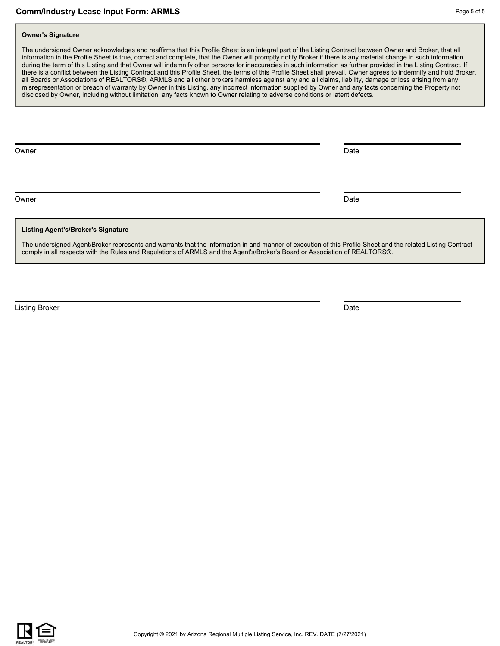#### **Owner's Signature**

The undersigned Owner acknowledges and reaffirms that this Profile Sheet is an integral part of the Listing Contract between Owner and Broker, that all information in the Profile Sheet is true, correct and complete, that the Owner will promptly notify Broker if there is any material change in such information during the term of this Listing and that Owner will indemnify other persons for inaccuracies in such information as further provided in the Listing Contract. If there is a conflict between the Listing Contract and this Profile Sheet, the terms of this Profile Sheet shall prevail. Owner agrees to indemnify and hold Broker, all Boards or Associations of REALTORS®, ARMLS and all other brokers harmless against any and all claims, liability, damage or loss arising from any misrepresentation or breach of warranty by Owner in this Listing, any incorrect information supplied by Owner and any facts concerning the Property not disclosed by Owner, including without limitation, any facts known to Owner relating to adverse conditions or latent defects.

Owner **Date** 

Owner **Date** 

#### **Listing Agent's/Broker's Signature**

The undersigned Agent/Broker represents and warrants that the information in and manner of execution of this Profile Sheet and the related Listing Contract comply in all respects with the Rules and Regulations of ARMLS and the Agent's/Broker's Board or Association of REALTORS®.

**Listing Broker** Date **Date Community Community** Community Community Community Community Community Community Community Community Community Community Community Community Community Community Community Community Community Com

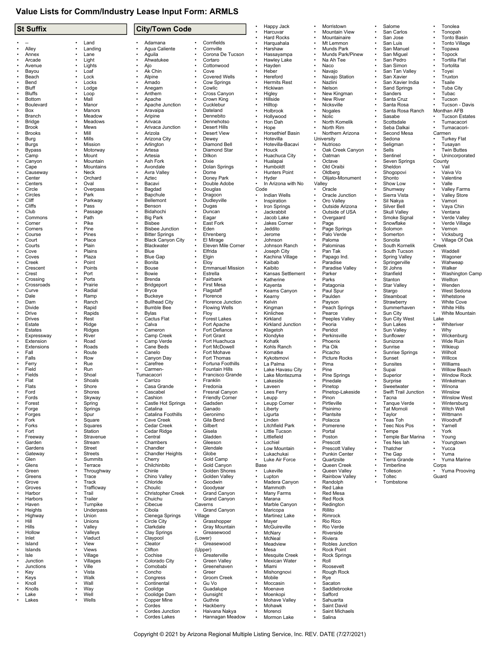## **Value Lists for Comm/Industry Lease Input Form: ARMLS**

| <b>St Suffix</b>        |           |                       |                        | <b>City/Town Code</b>                  |           |                                          |                   | Happy Jack                         | Morristown                           | Salome                              |           | Tonolea                                   |
|-------------------------|-----------|-----------------------|------------------------|----------------------------------------|-----------|------------------------------------------|-------------------|------------------------------------|--------------------------------------|-------------------------------------|-----------|-------------------------------------------|
|                         |           |                       |                        |                                        |           |                                          | $\bullet$         | Harcuvar<br><b>Hard Rocks</b>      | <b>Mountain View</b><br>Mountainaire | San Carlos<br>San Jose              |           | Tonopah<br>Tonto Basin                    |
|                         | ٠         | Land                  | ۰                      | Adamana                                |           | Cornfields                               |                   | Harquahala                         | Mt Lemmon                            | San Luis                            |           | <b>Tonto Village</b>                      |
| Alley                   | ۰         | Landing               | ۰                      | Agua Caliente                          |           | Cornville                                | $\bullet$         | Harshaw                            | Munds Park                           | San Manuel                          |           | Topawa                                    |
| Annex                   | $\bullet$ | Lane                  |                        | Aguila                                 |           | Corona De Tucson                         | $\bullet$         | Hassayampa                         | Munds Park/Pinew                     | San Miguel                          |           | <b>Topock</b>                             |
| Arcade<br>Avenue        |           | Light<br>Lights       |                        | Ahwatukee<br>Ajo                       |           | Cortaro<br>Cottonwood                    |                   | Hawley Lake<br>Hayden              | Na Ah Tee<br>Naco                    | San Pedro<br>San Simon              |           | <b>Tortilla Flat</b><br>Tortolita         |
| Bayou                   |           | Loaf                  |                        | Ak Chin                                |           | Cove                                     |                   | Heber                              | Navajo                               | San Tan Valley                      |           | Toyei                                     |
| Beach                   | ٠         | Lock                  |                        | Alpine                                 |           | <b>Covered Wells</b>                     | $\bullet$         | Hereford                           | Navajo Station                       | San Xavier                          |           | Truxton                                   |
| Bend<br>Bluff           |           | Locks<br>Lodge        |                        | Amado<br>Anegam                        |           | Cow Springs<br>Cowlic                    |                   | <b>Hermits Rest</b><br>Hickiwan    | Nazlini<br>Nelson                    | San Xavier India<br>Sand Springs    |           | Tsaile<br><b>Tuba City</b>                |
| <b>Bluffs</b>           |           | Loop                  |                        | Anthem                                 |           | Cross Canyon                             |                   | Higley                             | New Kingman                          | Sanders                             |           | Tubac                                     |
| <b>Bottom</b>           |           | Mall                  |                        | Apache                                 |           | Crown King                               |                   | Hillside                           | <b>New River</b>                     | Santa Cruz                          |           | Tucson                                    |
| Boulevard               |           | Manor                 |                        | Apache Junction                        |           | Cucklebur                                |                   | Hilltop                            | Nicksville                           | Santa Rosa                          |           | Tucson - Davis                            |
| Box<br>Branch           |           | Manors<br>Meadow      |                        | Aravaipa<br>Aripine                    |           | Dateland<br>Dennebito                    |                   | Holbrook<br>Hollywood              | Nogales<br>Nolic                     | Santa Rosa Ranch<br>Sasabe          |           | Monthan AFB<br><b>Tucson Estates</b>      |
| <b>Bridge</b>           |           | Meadows               |                        | Arivaca                                |           | Dennehotso                               |                   | Hon Dah                            | North Komelik                        | Scottsdale                          |           | Tumacacori                                |
| <b>Brook</b>            |           | Mews                  |                        | Arivaca Junction                       |           | <b>Desert Hills</b>                      |                   | Hope                               | North Rim                            | Seba Dalkai                         |           | Tumacacori-                               |
| <b>Brooks</b>           | ٠         | Mill<br>Mills         |                        | Arizola<br>Arizona City                |           | <b>Desert View</b><br>Dewey              |                   | Horsethief Basin<br>Hotevilla      | Northern Arizona<br>University       | Second Mesa                         |           | Carmen                                    |
| Burg<br>Burgs           |           | Mission               |                        | Arlington                              |           | Diamond Bell                             |                   | Hotevilla-Bacavi                   | Nutrioso                             | Sedona<br>Seligman                  |           | <b>Turkey Flat</b><br>Tusayan             |
| <b>Bypass</b>           |           | Motorway              |                        | Artesa                                 |           | Diamond Star                             |                   | Houck                              | Oak Creek Canyon                     | Sells                               |           | <b>Twin Buttes</b>                        |
| Camp                    |           | Mount                 | ۰                      | Artesia                                |           | Dilkon                                   |                   | Huachuca City                      | Oatman                               | Sentinel                            |           | Unincorporated                            |
| Canyon<br>Cape          |           | Mountain<br>Mountains |                        | Ash Fork<br>Avondale                   |           | Dixie<br>Dolan Springs                   |                   | Hualapai<br>Humboldt               | Octave<br>Old Oraibi                 | Seven Springs<br>Sheldon            |           | County<br>Vail                            |
| Causeway                |           | Neck                  |                        | Avra Valley                            |           | Dome                                     |                   | <b>Hunters Point</b>               | Oldberg                              | Shogopovi                           |           | Vaiva Vo                                  |
| Center                  |           | Orchard               |                        | Aztec                                  |           | Doney Park                               |                   | Hyder                              | Olijato-Monument                     | Shonto                              |           | Valentine                                 |
| Centers<br>Circle       |           | Oval<br>Overpass      |                        | Bacavi<br>Bagdad                       |           | Double Adobe<br>Douglas                  | Code              | In Arizona with No                 | Valley<br>Oracle                     | Show Low<br>Shumway                 |           | Valle<br>Valley Farms                     |
| Circles                 |           | Park                  |                        | Bapchule                               |           | Dragoon                                  |                   | <b>Indian Wells</b>                | Oracle Junction                      | Sierra Vista                        |           | <b>Valley Store</b>                       |
| Cliff                   |           | Parkway               |                        | Bellemont                              |           | Dudleyville                              |                   | Inspiration                        | Oro Valley                           | Sil Nakya                           |           | Vamori                                    |
| Cliffs                  |           | Pass                  |                        | Benson                                 |           | Dugas                                    |                   | Iron Springs                       | Outside Arizona                      | Silver Bell                         |           | Vaya Chin                                 |
| Club<br>Commons         |           | Passage<br>Path       |                        | Bidahochi<br><b>Big Park</b>           |           | Duncan<br>Eagar                          |                   | Jackrabbit<br>Jacob Lake           | Outside of USA<br>Overgaard          | <b>Skull Valley</b><br>Smoke Signal |           | Ventana<br>Verde Valley                   |
| Corner                  |           | Pike                  |                        | <b>Bisbee</b>                          |           | East Fork                                |                   | Jakes Corner                       | Page                                 | Snowflake                           |           | Verde Village                             |
| Corners                 |           | Pine                  |                        | <b>Bisbee Junction</b>                 |           | Eden                                     |                   | Jeddito                            | Page Springs                         | Solomon                             |           | Vernon                                    |
| Course                  |           | Pines                 |                        | <b>Bitter Springs</b>                  |           | Ehrenberg                                |                   | Jerome                             | Palo Verde                           | Somerton                            |           | Vicksburg                                 |
| Court<br>Courts         | ٠         | Place<br>Plain        |                        | <b>Black Canyon City</b><br>Blackwater |           | El Mirage<br>Eleven Mile Corner          |                   | Johnson<br>Johnson Ranch           | Paloma<br>Palominas                  | Sonoita<br>South Kornelik           |           | Village Of Oak<br>Creek                   |
| Cove                    |           | Plains                |                        | Blue                                   |           | Elfrida                                  |                   | Joseph City                        | Pan Tak                              | South Tucson                        |           | Waddell                                   |
| Coves                   |           | Plaza                 |                        | <b>Blue Gap</b>                        |           | Elgin                                    | $\bullet$         | Kachina Village                    | Papago Ind.                          | <b>Spring Valley</b>                |           | Wagoner                                   |
| Creek<br>Crescent       |           | Point<br>Points       |                        | Bonita<br><b>Bouse</b>                 |           | Eloy<br><b>Emmanuel Mission</b>          |                   | Kaibab                             | Paradise                             | Springerville                       |           | Wahweap                                   |
| Crest                   |           | Port                  |                        | Bowie                                  |           | Estrella                                 | $\bullet$         | Kaibito<br>Kansas Settlement       | Paradise Valley<br>Parker            | St Johns<br>Stanfield               |           | Walker<br>Washington Camp                 |
| Crossing                |           | Ports                 |                        | Brenda                                 |           | Fairbank                                 |                   | Katherine                          | Parks                                | Stanton                             |           | Wellton                                   |
| Crossroads              |           | Prairie               |                        | Bridgeport                             |           | First Mesa                               |                   | Kayenta                            | Patagonia                            | <b>Star Valley</b>                  |           | Wenden                                    |
| Curve<br>Dale           |           | Radial<br>Ramp        |                        | <b>Bryce</b><br><b>Buckeye</b>         |           | Flagstaff<br>Florence                    |                   | Keams Canyon<br>Kearny             | Paul Spur<br>Paulden                 | Stargo<br>Steamboat                 |           | West Sedona<br>Whetstone                  |
| Dam                     |           | Ranch                 |                        | <b>Bullhead City</b>                   |           | Florence Junction                        | $\bullet$         | Kelvin                             | Payson                               | Strawberry                          |           | <b>White Cove</b>                         |
| Divide                  |           | Rapid                 |                        | <b>Bumble Bee</b>                      |           | <b>Flowing Wells</b>                     |                   | Kingman                            | Peach Springs                        | Summerhaven                         |           | <b>White Hills</b>                        |
| Drive                   |           | Rapids                |                        | <b>Bylas</b>                           |           | Floy                                     |                   | Kinlichee                          | Pearce                               | Sun City                            |           | White Mountain                            |
| <b>Drives</b><br>Estate |           | Rest<br>Ridge         |                        | Cactus Flat<br>Calva                   |           | <b>Forest Lakes</b><br>Fort Apache       |                   | Kirkland<br>Kirkland Junction      | Peeples Valley<br>Peoria             | Sun City West<br>Sun Lakes          |           | Lake<br>Whiteriver                        |
| Estates                 |           | Ridges                | ۰                      | Cameron                                |           | Fort Defiance                            |                   | Klagetoh                           | Peridot                              | Sun Valley                          |           | Why                                       |
| Expressway              |           | River                 |                        | Camp Creek                             |           | Fort Grant                               |                   | Klondyke                           | Perkinsville                         | Sunflower                           |           | Wickenburg                                |
| Extension<br>Extensions |           | Road<br>Roads         |                        | Camp Verde<br>Cane Beds                |           | Fort Huachuca<br>Fort McDowell           |                   | Kohatk<br>Kohls Ranch              | Phoenix<br>Pia Oik                   | Sunizona<br>Sunrise                 |           | Wide Ruin<br>Wikieup                      |
| Fall                    |           | Route                 |                        | Canelo                                 |           | Fort Mohave                              |                   | Komatke                            | Picacho                              | Sunrise Springs                     |           | Wilhoit                                   |
| Falls                   |           | Row                   |                        | Canyon Day                             |           | Fort Thomas                              |                   | Kykotsmovi                         | <b>Picture Rocks</b>                 | Sunset                              |           | Willcox                                   |
| Ferry                   |           | Rue                   |                        | Carefree                               |           | Fortuna Foothills                        |                   | La Palma                           | Pima                                 | Sunsites                            |           | Williams                                  |
| Field<br>Fields         |           | Run<br>Shoal          |                        | Carmen-<br>Tumacacori                  |           | Fountain Hills<br>Francisco Grande       |                   | Lake Havasu City<br>Lake Montezuma | Pine<br>Pine Springs                 | Supai<br>Superior                   |           | <b>Willow Beach</b><br><b>Window Rock</b> |
| Flat                    |           | Shoals                |                        | Carrizo                                |           | Franklin                                 |                   | Lakeside                           | Pinedale                             | Surprise                            |           | Winkelman                                 |
| Flats                   |           | Shore                 |                        | Casa Grande                            |           | Fredonia                                 |                   | Laveen                             | Pinetop                              | Sweetwater                          |           | Winona                                    |
| Ford<br>Fords           |           | Shores<br>Skyway      | ٠                      | Cascabel<br>Cashion                    |           | Fresnal Canyon<br><b>Friendly Corner</b> | $\bullet$         | Lees Ferry<br>Leupp                | Pinetop-Lakeside<br>Pinon            | Swift Trail Junction<br>Tacna       |           | Winslow<br><b>Winslow West</b>            |
| Forest                  |           | Spring                |                        | Castle Hot Springs                     |           | Gadsden                                  |                   | Leupp Corner                       | Pirtleville                          | Tanque Verde                        |           | Wintersburg                               |
| Forge                   |           | Springs               |                        | Catalina                               |           | Ganado                                   |                   | Liberty                            | Pisinimo                             | <b>Tat Mornoli</b>                  |           | Witch Well                                |
| Forges                  |           | Spur                  | ٠                      | Catalina Foothills                     |           | Geronimo<br>Gila Bend                    |                   | Ligurta                            | Plantsite                            | Taylor                              |           | Wittmann                                  |
| Fork<br>Forks           |           | Square<br>Squares     | ۰                      | Cave Creek<br>Cedar Creek              |           | Gilbert                                  | $\bullet$         | Linden<br><b>Litchfield Park</b>   | Polacca<br>Pomerene                  | Teas Toh<br>Teec Nos Pos            | $\bullet$ | Woodruff<br>Yarnell                       |
| Fort                    |           | Station               | $\bullet$              | Cedar Ridge                            | $\bullet$ | Gisela                                   |                   | Little Tucson                      | Portal                               | Tempe                               |           | York                                      |
| Freeway                 |           | Stravenue             |                        | Central                                |           | Gladden                                  |                   | Littlefield                        | Poston                               | Temple Bar Marina                   |           | Young                                     |
| Garden<br>Gardens       |           | Stream<br>Street      | ۰                      | Chambers<br>Chandler                   |           | Gleeson<br>Glendale                      |                   | Lochiel<br>Low Mountain            | Prescott<br>Prescott Valley          | Tes Nes lah<br>Thatcher             |           | Youngtown<br>Yucca                        |
| Gateway                 |           | <b>Streets</b>        | ۰                      | <b>Chandler Heights</b>                | $\bullet$ | Globe                                    |                   | Lukachukai                         | <b>Punkin Center</b>                 | The Gap                             |           | Yuma                                      |
| Glen                    |           | Summits               | $\bullet$              | Cherry                                 |           | Gold Camp                                | $\bullet$         | Luke Air Force                     | Quartzsite                           | Tierra Grande                       |           | Yuma Marine                               |
| Glens<br>Green          |           | Terrace<br>Throughway | $\bullet$<br>$\bullet$ | Chilchinbito<br>Chinle                 |           | Gold Canyon<br>Golden Shores             | Base<br>$\bullet$ | Lukeville                          | Queen Creek<br>Queen Valley          | Timberline<br>Tolleson              | ٠         | Corps<br>Yuma Prooving                    |
| Greens                  |           | Trace                 |                        | Chino Vallev                           |           | Golden Valley                            | $\bullet$         | Lupton                             | Rainbow Valley                       | Toltec                              |           | Guard                                     |
| Grove                   |           | Track                 | ۰                      | Chloride                               |           | Goodwin                                  |                   | Madera Canyon                      | Randolph                             | Tombstone                           |           |                                           |
| Groves                  |           | Trafficway            |                        | Choulic                                |           | Goodyear                                 |                   | Mammoth                            | <b>Red Lake</b>                      |                                     |           |                                           |
| Harbor<br>Harbors       |           | Trail<br>Trailer      | $\bullet$              | <b>Christopher Creek</b><br>Chuichu    |           | <b>Grand Canyon</b><br>Grand Canyon      | $\bullet$         | Many Farms<br>Marana               | Red Mesa<br>Red Rock                 |                                     |           |                                           |
| Haven                   |           | Turnpike              |                        | Cibecue                                |           | Caverns                                  |                   | Marble Canyon                      | Redington                            |                                     |           |                                           |
| Heights                 |           | Underpass             | ٠                      | Cibola                                 | $\bullet$ | <b>Grand Canyon</b>                      | $\bullet$         | Maricopa                           | Rillito                              |                                     |           |                                           |
| Highway<br>Hill         |           | Union<br>Unions       | $\bullet$              | Cienega Springs<br>Circle City         | $\bullet$ | Village<br>Grasshopper                   | $\bullet$         | Martinez Lake<br>Mayer             | Rimrock<br>Rio Rico                  |                                     |           |                                           |
| Hills                   |           | Valley                | ۰                      | Clarkdale                              |           | Gray Mountain                            |                   | McGuireville                       | Rio Verde                            |                                     |           |                                           |
| Hollow                  |           | Valleys               |                        | Clay Springs                           |           | Greasewood                               | $\bullet$         | McNary                             | Riverside                            |                                     |           |                                           |
| Inlet                   |           | Viaduct               | ۰                      | Claypool                               |           | (Lower)                                  |                   | McNeal                             | Riviera                              |                                     |           |                                           |
| Island<br>Islands       |           | View<br><b>Views</b>  | ۰                      | Cleator<br>Clifton                     | $\bullet$ | Greasewood<br>(Upper)                    |                   | Meadview<br>Mesa                   | Robles Junction<br><b>Rock Point</b> |                                     |           |                                           |
| Isle                    |           | Village               | ۰                      | Cochise                                |           | Greaterville                             |                   | <b>Mesquite Creek</b>              | Rock Springs                         |                                     |           |                                           |
| Junction                |           | Villages              |                        | Colorado City                          |           | Green Valley                             |                   | Mexican Water                      | Roll                                 |                                     |           |                                           |
| Junctions               |           | Ville<br>Vista        |                        | Comobabi<br>Concho                     |           | Greenehaven<br>Greer                     |                   | Miami<br>Mishongnovi               | Roosevelt<br>Rough Rock              |                                     |           |                                           |
| Key<br>Keys             |           | Walk                  | $\bullet$              | Congress                               |           | Groom Creek                              |                   | Mobile                             | Rye                                  |                                     |           |                                           |
| Knoll                   |           | Wall                  | $\bullet$              | Continental                            |           | Gu Vo                                    |                   | Moccasin                           | Sacaton                              |                                     |           |                                           |
| Knolls<br>Lake          | ٠         | Way<br>Well           | ۰                      | Coolidge                               |           | Guadalupe                                |                   | Moenave                            | Saddlebrooke                         |                                     |           |                                           |
| Lakes                   |           | Wells                 |                        | Coolidge Dam<br>Copper Mine            |           | Gunsight<br>Guthrie                      |                   | Moenkopi<br>Mohave Valley          | Safford<br>Sahuarita                 |                                     |           |                                           |
|                         |           |                       |                        | Cordes                                 |           | Hackberry                                |                   | Mohawk                             | Saint David                          |                                     |           |                                           |
|                         |           |                       | $\bullet$              | Cordes Junction                        |           | Haivana Nakya                            | $\bullet$         | Morenci                            | Saint Michaels                       |                                     |           |                                           |
|                         |           |                       |                        | Cordes Lakes                           |           | Hannagan Meadow                          | $\bullet$         | Mormon Lake                        | Salina                               |                                     |           |                                           |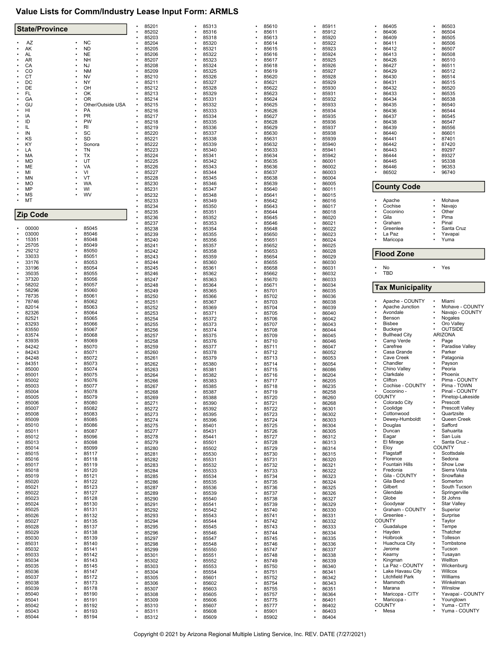# **Value Lists for Comm/Industry Lease Input Form: ARMLS**

| <b>State/Province</b>  |                        | 85201<br>85202              | 85313          | 85610          | 85911<br>85912 | 86405<br>86406                     | 86503                          |
|------------------------|------------------------|-----------------------------|----------------|----------------|----------------|------------------------------------|--------------------------------|
|                        |                        | 85203                       | 85316<br>85318 | 85611<br>85613 | 85920          | 86409                              | 86504<br>86505                 |
| AZ                     | <b>NC</b>              | 85204                       | 85320          | 85614          | 85922          | 86411                              | 86506                          |
| AK<br>AL               | <b>ND</b><br><b>NE</b> | 85205<br>85206              | 85321<br>85322 | 85615<br>85616 | 85923<br>85924 | 86412<br>86413                     | 86507<br>86508                 |
| AR                     | <b>NH</b>              | 85207                       | 85323          | 85617          | 85925          | 86426                              | 86510                          |
| CA<br>CO               | NJ<br><b>NM</b>        | 85208                       | 85324          | 85618          | 85926          | 86427                              | 86511                          |
| <b>CT</b>              | NV                     | 85209<br>85210              | 85325<br>85326 | 85619<br>85620 | 85927<br>85928 | 86429<br>86430                     | 86512<br>86514                 |
| DC                     | NY                     | 85211                       | 85327          | 85621          | 85929          | 86431                              | 86515                          |
| DE                     | ОН                     | 85212                       | 85328          | 85622          | 85930          | 86432                              | 86520                          |
| <b>FL</b><br>GA        | OK<br>OR               | 85213<br>85214              | 85329<br>85331 | 85623<br>85624 | 85931<br>85932 | 86433<br>86434                     | 86535<br>86538                 |
| GU                     | Other/Outside USA      | 85215                       | 85332          | 85625          | 85933          | 86435                              | 86540                          |
| HI                     | PA                     | 85216                       | 85333          | 85626          | 85934          | 86436                              | 86544                          |
| IA<br>ID               | PR<br>PW               | 85217<br>85218              | 85334<br>85335 | 85627<br>85628 | 85935<br>85936 | 86437<br>86438                     | 86545<br>86547                 |
| IL                     | RI                     | 85219                       | 85336          | 85629          | 85937          | 86439                              | 86556                          |
| IN                     | SC                     | 85220                       | 85337          | 85630          | 85938          | 86440                              | 86601                          |
| KS<br>KY               | <b>SD</b><br>Sonora    | 85221<br>85222              | 85338<br>85339 | 85631<br>85632 | 85939<br>85940 | 86441<br>86442                     | 87401<br>87420                 |
| LA                     | TN                     | 85223                       | 85340          | 85633          | 85941          | 86443                              | 89297                          |
| MA                     | ТX<br>UT               | 85224                       | 85341          | 85634          | 85942          | 86444                              | 89327                          |
| MD<br>ME               | VA                     | 85225<br>85226              | 85342<br>85343 | 85635<br>85636 | 86001<br>86002 | 86445<br>86446                     | 95338<br>96353                 |
| MI                     | VI                     | 85227                       | 85344          | 85637          | 86003          | 86502                              | 96740                          |
| <b>MN</b><br><b>MO</b> | VT<br>WA               | 85228                       | 85345          | 85638          | 86004          |                                    |                                |
| MP                     | WI                     | 85230<br>85231              | 85346<br>85347 | 85639<br>85640 | 86005<br>86011 | <b>County Code</b>                 |                                |
| MS                     | wv                     | 85232                       | 85348          | 85641          | 86015          |                                    |                                |
| MT<br>$\bullet$        |                        | 85233                       | 85349          | 85642          | 86016          | Apache                             | Mohave                         |
|                        |                        | 85234<br>85235              | 85350<br>85351 | 85643<br>85644 | 86017<br>86018 | Cochise<br>Coconino                | Navajo<br>Other                |
| <b>Zip Code</b>        |                        | 85236                       | 85352          | 85645          | 86020          | Gila                               | Pima                           |
|                        |                        | 85237                       | 85353          | 85646          | 86021          | Graham                             | Pinal                          |
| 00000<br>03000         | 85045<br>85046         | 85238<br>85239              | 85354<br>85355 | 85648<br>85650 | 86022<br>86023 | Greenlee<br>La Paz                 | Santa Cruz<br>Yavapai          |
| 15351                  | 85048                  | 85240                       | 85356          | 85651          | 86024          | Maricopa                           | Yuma                           |
| 25705<br>29212         | 85049                  | 85241                       | 85357          | 85652          | 86025          |                                    |                                |
| 33033                  | 85050<br>85051         | 85242<br>85243              | 85358<br>85359 | 85653<br>85654 | 86028<br>86029 | <b>Flood Zone</b>                  |                                |
| 33176                  | 85053                  | 85244                       | 85360          | 85655          | 86030          |                                    |                                |
| 33196                  | 85054                  | 85245                       | 85361          | 85658          | 86031          | No<br><b>TBD</b>                   | • Yes                          |
| 35035<br>37320         | 85055<br>85056         | 85246<br>85247              | 85362<br>85363 | 85662<br>85670 | 86032<br>86033 |                                    |                                |
| 58202                  | 85057                  | 85248                       | 85364          | 85671          | 86034          | <b>Tax Municipality</b>            |                                |
| 58296                  | 85060                  | 85249                       | 85365          | 85701          | 86035          |                                    |                                |
| 78735<br>78746         | 85061<br>85062         | 85250<br>85251              | 85366<br>85367 | 85702<br>85703 | 86036<br>86038 | Apache - COUNTY                    | Miami                          |
| 82014                  | 85063                  | 85252                       | 85369          | 85704          | 86039          | Apache Junction                    | Mohave - COUNTY                |
| 82326<br>82521         | 85064                  | 85253                       | 85371          | 85705          | 86040          | Avondale<br>Benson                 | Navajo - COUNTY<br>Nogales     |
| 83293                  | 85065<br>85066         | 85254<br>85255              | 85372<br>85373 | 85706<br>85707 | 86042<br>86043 | <b>Bisbee</b>                      | Oro Valley                     |
| 83550                  | 85067                  | 85256                       | 85374          | 85708          | 86044          | <b>Buckeye</b>                     | <b>OUTSIDE</b>                 |
| 83574<br>83935         | 85068<br>85069         | 85257<br>85258              | 85375<br>85376 | 85709<br>85710 | 86045          | <b>Bullhead City</b><br>Camp Verde | <b>ARIZONA</b><br>Page         |
| 84242                  | 85070                  | 85259                       | 85377          | 85711          | 86046<br>86047 | Carefree                           | Paradise Valley                |
| 84243                  | 85071                  | 85260                       | 85378          | 85712          | 86052          | Casa Grande                        | Parker                         |
| 84248<br>84351         | 85072<br>85073         | 85261<br>85262              | 85379<br>85380 | 85713<br>85714 | 86053<br>86054 | Cave Creek<br>Chandler             | Patagonia<br>Payson            |
| 85000                  | 85074                  | 85263                       | 85381          | 85715          | 86086          | Chino Valley                       | Peoria                         |
| 85001                  | 85075                  | 85264                       | 85382          | 85716          | 86204          | Clarkdale                          | Phoenix                        |
| 85002<br>85003         | 85076<br>85077         | 85266<br>85267              | 85383<br>85385 | 85717<br>85718 | 86205<br>86235 | Clifton<br>Cochise - COUNTY        | Pima - COUNTY<br>Pima - TOWN   |
| 85004                  | 85078                  | 85268                       | 85387          | 85719          | 86258          | Coconino -                         | Pinal - COUNTY                 |
| 85005                  | 85079                  | 85269                       | 85388          | 85720          | 86260          | <b>COUNTY</b>                      | Pinetop-Lakeside               |
| 85006<br>85007         | 85080<br>85082         | 85271<br>85272              | 85390<br>85392 | 85721<br>85722 | 86268<br>86301 | Colorado City<br>Coolidge          | Prescott<br>Prescott Valley    |
| 85008                  | 85083                  | 85273                       | 85395          | 85723          | 86302          | Cottonwood                         | Quartzsite                     |
| 85009                  | 85085                  | 85274                       | 85396          | 85724          | 86303          | Dewey-Humboldt                     | Queen Creek                    |
| 85010<br>85011         | 85086<br>85087         | 85275<br>85277              | 85401<br>85431 | 85725<br>85726 | 86304<br>86305 | Douglas<br>Duncan                  | Safford<br>Sahuarita           |
| 85012                  | 85096                  | 85278                       | 85441          | 85727          | 86312          | Eagar                              | San Luis                       |
| 85013                  | 85098                  | 85279                       | 85501          | 85728          | 86313          | El Mirage                          | Santa Cruz -<br><b>COUNTY</b>  |
| 85014<br>85015         |                        |                             |                |                |                | Eloy                               |                                |
| 85016                  | 85099                  | 85280                       | 85502          | 85729          | 86314          |                                    |                                |
|                        | 85117<br>85118         | 85281<br>$\bullet$<br>85282 | 85530<br>85531 | 85730<br>85731 | 86315<br>86320 | Flagstaff<br>Florence              | Scottsdale<br>Sedona           |
| 85017                  | 85119                  | 85283                       | 85532          | 85732          | 86321          | <b>Fountain Hills</b>              | Show Low                       |
| 85018                  | 85120                  | 85284                       | 85533          | 85733          | 86322          | Fredonia                           | Sierra Vista                   |
| 85019<br>85020         | 85121<br>85122         | 85285<br>85286              | 85534<br>85535 | 85734<br>85735 | 86323<br>86324 | Gila - COUNTY<br>Gila Bend         | Snowflake<br>Somerton          |
| 85021                  | 85123                  | 85287                       | 85536          | 85736          | 86325          | Gilbert                            | South Tucson                   |
| 85022                  | 85127                  | 85289                       | 85539          | 85737          | 86326          | Glendale                           | Springerville                  |
| 85023<br>85024         | 85128<br>85130         | 85290<br>85291              | 85540<br>85541 | 85738<br>85739 | 86327<br>86329 | Globe<br>Goodyear                  | St Johns<br><b>Star Valley</b> |
| 85025                  | 85131                  | 85292                       | 85542          | 85740          | 86330          | Graham - COUNTY                    | Superior                       |
| 85026                  | 85132                  | 85293                       | 85543          | 85741          | 86331          | Greenlee -<br><b>UNTY</b><br>CC    | Surprise                       |
| 85027<br>85028         | 85135<br>85137         | 85294<br>85295              | 85544<br>85545 | 85742<br>85743 | 86332<br>86333 | Guadalupe                          | Taylor<br>Tempe                |
| 85029                  | 85138                  | 85296                       | 85546          | 85744          | 86334          | Hayden                             | Thatcher                       |
| 85030<br>85031         | 85139<br>85140         | 85297                       | 85547          | 85745          | 86335          | Holbrook<br>Huachuca City          | Tolleson<br>Tombstone          |
| 85032                  | 85141                  | 85298<br>85299              | 85548<br>85550 | 85746<br>85747 | 86336<br>86337 | Jerome                             | Tucson                         |
| 85033                  | 85142                  | 85301                       | 85551          | 85748          | 86338          | Kearny                             | Tusayan                        |
| 85034                  | 85143<br>85145         | 85302                       | 85552          | 85749          | 86339          | Kingman<br>La Paz - COUNTY         | Wellton<br>Wickenburg          |
| 85035<br>85036         | 85147                  | 85303<br>85304              | 85553<br>85554 | 85750<br>85751 | 86340<br>86341 | Lake Havasu City                   | Willcox<br>$\bullet$           |
| 85037                  | 85172                  | 85305                       | 85601          | 85752          | 86342          | Litchfield Park                    | Williams                       |
| 85038<br>85039         | 85173<br>85178         | 85306                       | 85602          | 85754          | 86343          | Mammoth<br>Marana                  | Winkelman<br>Winslow           |
| 85040                  | 85190                  | 85307<br>85308              | 85603<br>85605 | 85755<br>85757 | 86351<br>86364 | Maricopa - CITY                    | Yavapai - COUNTY               |
| 85041                  | 85191                  | 85309                       | 85606          | 85775          | 86401          | Maricopa -                         | Youngtown                      |
| 85042<br>85043         | 85192<br>85193         | 85310<br>85311              | 85607<br>85608 | 85777<br>85901 | 86402<br>86403 | <b>COUNTY</b><br>Mesa              | Yuma - CITY<br>Yuma - COUNTY   |